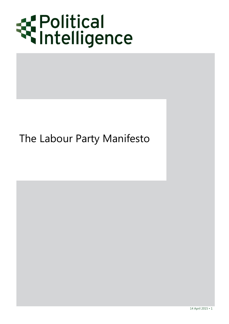

# The Labour Party Manifesto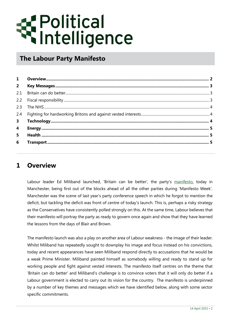# *E* Political<br>Sintelligence

# **The Labour Party Manifesto**

| $2^{\circ}$    |  |
|----------------|--|
| 2.1            |  |
|                |  |
| 2.3            |  |
|                |  |
| 3 <sup>7</sup> |  |
| $\overline{4}$ |  |
| 5              |  |
| 6              |  |

# <span id="page-1-0"></span>**1 Overview**

Labour leader Ed Miliband launched, 'Britain can be better', the party's [manifesto,](http://www.labouremail.org.uk/files/uploads/bfd62952-9c4f-3394-3d41-cf94592816d2.pdf) today in Manchester, being first out of the blocks ahead of all the other parties during 'Manifesto Week'. Manchester was the scene of last year's party conference speech in which he forgot to mention the deficit, but tackling the deficit was front of centre of today's launch. This is, perhaps a risky strategy as the Conservatives have consistently polled strongly on this. At the same time, Labour believes that their manifesto will portray the party as ready to govern once again and show that they have learned the lessons from the days of Blair and Brown.

The manifesto launch was also a play on another area of Labour weakness - the image of their leader. Whilst Miliband has repeatedly sought to downplay his image and focus instead on his convictions, today and recent appearances have seen Miliband respond directly to accusations that he would be a weak Prime Minister. Miliband painted himself as somebody willing and ready to stand up for working people and fight against vested interests. The manifesto itself centres on the theme that 'Britain can do better' and Miliband's challenge is to convince voters that it will only do better if a Labour government is elected to carry out its vision for the country. The manifesto is underpinned by a number of key themes and messages which we have identified below, along with some sector specific commitments.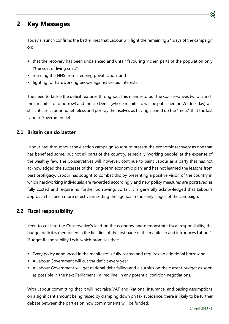# <span id="page-2-0"></span>**2 Key Messages**

Today's launch confirms the battle lines that Labour will fight the remaining 24 days of the campaign on:

- that the recovery has been unbalanced and unfair favouring 'richer' parts of the population only ('the cost of living crisis');
- **•** rescuing the NHS from creeping privatisation; and
- **fighting for hardworking people against vested interests.**

The need to tackle the deficit features throughout this manifesto but the Conservatives (who launch their manifesto tomorrow) and the Lib Dems (whose manifesto will be published on Wednesday) will still criticise Labour nonetheless and portray themselves as having cleared up the "mess" that the last Labour Government left.

# <span id="page-2-1"></span>**2.1 Britain can do better**

Labour has, throughout the election campaign sought to present the economic recovery as one that has benefited some, but not all parts of the country, especially 'working people' at the expense of the wealthy few. The Conservatives will, however, continue to paint Labour as a party that has not acknowledged the successes of the 'long-term economic plan' and has not learned the lessons from past profligacy. Labour has sought to combat this by presenting a positive vision of the country in which hardworking individuals are rewarded accordingly and new policy measures are portrayed as fully costed and require no further borrowing. So far, it is generally acknowledged that Labour's approach has been more effective in setting the agenda in the early stages of the campaign.

# <span id="page-2-2"></span>**2.2 Fiscal responsibility**

Keen to cut into the Conservative's lead on the economy and demonstrate fiscal responsibility, the budget deficit is mentioned in the first line of the first page of the manifesto and introduces Labour's 'Budget Responsibility Lock' which promises that:

- Every policy announced in the manifesto is fully costed and requires no additional borrowing.
- A Labour Government will cut the deficit every year
- A Labour Government will get national debt falling and a surplus on the current budget as soon as possible in the next Parliament - a 'red line' in any potential coalition negotiations.

With Labour committing that it will not raise VAT and National Insurance, and basing assumptions on a significant amount being raised by clamping down on tax avoidance, there is likely to be further debate between the parties on how commitments will be funded.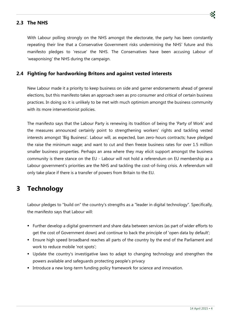# <span id="page-3-0"></span>**2.3 The NHS**

With Labour polling strongly on the NHS amongst the electorate, the party has been constantly repeating their line that a Conservative Government risks undermining the NHS' future and this manifesto pledges to 'rescue' the NHS. The Conservatives have been accusing Labour of 'weaponising' the NHS during the campaign.

## <span id="page-3-1"></span>**2.4 Fighting for hardworking Britons and against vested interests**

New Labour made it a priority to keep business on side and garner endorsements ahead of general elections, but this manifesto takes an approach seen as pro consumer and critical of certain business practices. In doing so it is unlikely to be met with much optimism amongst the business community with its more interventionist policies.

The manifesto says that the Labour Party is renewing its tradition of being the 'Party of Work' and the measures announced certainly point to strengthening workers' rights and tackling vested interests amongst 'Big Business'. Labour will, as expected, ban zero-hours contracts; have pledged the raise the minimum wage; and want to cut and then freeze business rates for over 1.5 million smaller business properties. Perhaps an area where they may elicit support amongst the business community is there stance on the EU - Labour will not hold a referendum on EU membership as a Labour government's priorities are the NHS and tackling the cost-of-living crisis. A referendum will only take place if there is a transfer of powers from Britain to the EU.

# <span id="page-3-2"></span>**3 Technology**

Labour pledges to "build on" the country's strengths as a "leader in digital technology". Specifically, the manifesto says that Labour will:

- Further develop a digital government and share data between services (as part of wider efforts to get the cost of Government down) and continue to back the principle of 'open data by default';
- Ensure high speed broadband reaches all parts of the country by the end of the Parliament and work to reduce mobile 'not spots';
- Update the country's investigative laws to adapt to changing technology and strengthen the powers available and safeguards protecting people's privacy
- Introduce a new long-term funding policy framework for science and innovation.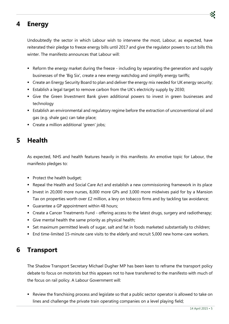# <span id="page-4-0"></span>**4 Energy**

Undoubtedly the sector in which Labour wish to intervene the most, Labour, as expected, have reiterated their pledge to freeze energy bills until 2017 and give the regulator powers to cut bills this winter. The manifesto announces that Labour will:

- Reform the energy market during the freeze including by separating the generation and supply businesses of the 'Big Six', create a new energy watchdog and simplify energy tariffs;
- Create an Energy Security Board to plan and deliver the energy mix needed for UK energy security;
- Establish a legal target to remove carbon from the UK's electricity supply by 2030;
- Give the Green Investment Bank given additional powers to invest in green businesses and technology
- Establish an environmental and regulatory regime before the extraction of unconventional oil and gas (e.g. shale gas) can take place;
- Create a million additional 'green' jobs;

# <span id="page-4-1"></span>**5 Health**

As expected, NHS and health features heavily in this manifesto. An emotive topic for Labour, the manifesto pledges to:

- Protect the health budget;
- Repeal the Health and Social Care Act and establish a new commissioning framework in its place
- Invest in 20,000 more nurses, 8,000 more GPs and 3,000 more midwives paid for by a Mansion Tax on properties worth over £2 million, a levy on tobacco firms and by tackling tax avoidance;
- Guarantee a GP appointment within 48 hours;
- Create a Cancer Treatments Fund offering access to the latest drugs, surgery and radiotherapy;
- Give mental health the same priority as physical health;
- Set maximum permitted levels of sugar, salt and fat in foods marketed substantially to children;
- End time-limited 15-minute care visits to the elderly and recruit 5,000 new home-care workers.

# <span id="page-4-2"></span>**6 Transport**

The Shadow Transport Secretary Michael Dugher MP has been keen to reframe the transport policy debate to focus on motorists but this appears not to have transferred to the manifesto with much of the focus on rail policy. A Labour Government will:

 Review the franchising process and legislate so that a public sector operator is allowed to take on lines and challenge the private train operating companies on a level playing field;